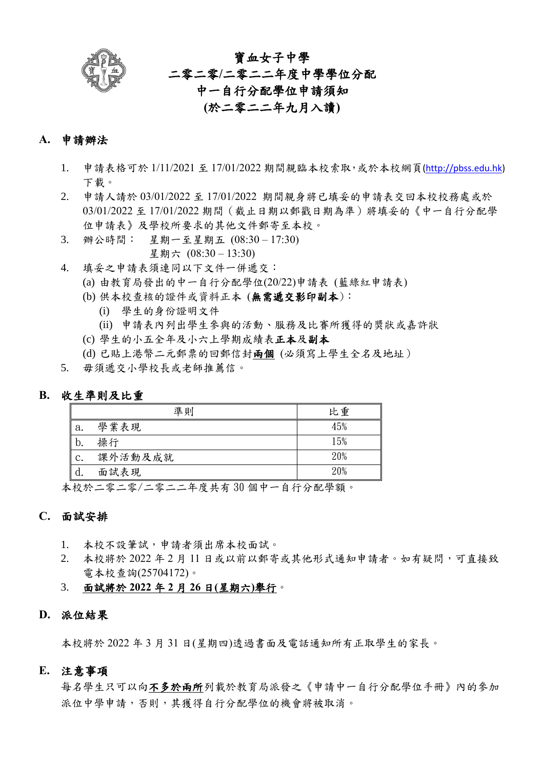

寶血女子中學 二零二零**/**二零二二年度中學學位分配 中一自行分配學位申請須知

# **(**於二零二二年九月入讀**)**

#### **A.** 申請辦法

- 1. 申請表格可於 1/11/2021 至 17/01/2022 期間親臨本校索取,或於本校網頁[\(http://pbss.edu.hk\)](http://pbss.edu.hk/) 下載。
- 2. 申請人請於 03/01/2022 至 17/01/2022 期間親身將已填妥的申請表交回本校校務處或於 03/01/2022 至 17/01/2022 期間(截止日期以郵戳日期為準)將填妥的《中一自行分配學 位申請表》及學校所要求的其他文件郵寄至本校。
- 3. 辦公時間: 星期一至星期五 (08:30 17:30) 星期六 (08:30 – 13:30)
- 4. 填妥之申請表須連同以下文件一併遞交:
	- (a) 由教育局發出的中一自行分配學位(20/22)申請表 (藍綠紅申請表)
	- (b) 供本校查核的證件或資料正本 (無需遞交影印副本):
		- (i) 學生的身份證明文件
		- (ii) 申請表內列出學生參與的活動、服務及比賽所獲得的奬狀或嘉許狀
	- (c) 學生的小五全年及小六上學期成績表正本及副本
	- (d) 已貼上港幣二元郵票的回郵信封兩個 (必須寫上學生全名及地址)
- 5. 毋須遞交小學校長或老師推薦信。

#### **B.** 收生準則及比重

|    | 準則      | 比重  |
|----|---------|-----|
| a. | 學業表現    | 45% |
| b. | 操行      | 15% |
| C. | 課外活動及成就 | 20% |
|    | 面試表現    | 20% |

本校於二零二零/二零二二年度共有 30 個中一自行分配學額。

#### **C.** 面試安排

- 1. 本校不設筆試,申請者須出席本校面試。
- 2. 本校將於 2022 年 2 月 11 日或以前以郵寄或其他形式通知申請者。如有疑問,可直接致 電本校查詢(25704172)。
- 3. 面試將於 **2022** 年 **2** 月 **26** 日**(**星期六**)**舉行。

### **D.** 派位結果

本校將於 2022 年 3 月 31 日(星期四)透過書面及電話通知所有正取學生的家長。

**E.** 注意事項

每名學生只可以向不多於兩所列載於教育局派發之《申請中一自行分配學位手冊》內的參加 派位中學申請,否則,其獲得自行分配學位的機會將被取消。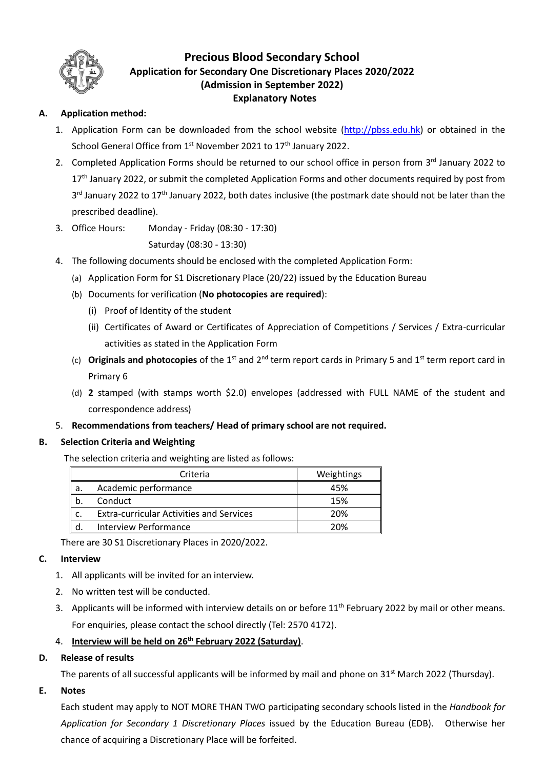

## **Precious Blood Secondary School Application for Secondary One Discretionary Places 2020/2022 (Admission in September 2022) Explanatory Notes**

### **A. Application method:**

- 1. Application Form can be downloaded from the school website [\(http://pbss.edu.hk\)](http://pbss.edu.hk/) or obtained in the School General Office from  $1<sup>st</sup>$  November 2021 to  $17<sup>th</sup>$  January 2022.
- 2. Completed Application Forms should be returned to our school office in person from 3<sup>rd</sup> January 2022 to 17<sup>th</sup> January 2022, or submit the completed Application Forms and other documents required by post from 3<sup>rd</sup> January 2022 to 17<sup>th</sup> January 2022, both dates inclusive (the postmark date should not be later than the prescribed deadline).
- 3. Office Hours: Monday Friday (08:30 17:30) Saturday (08:30 - 13:30)
- 4. The following documents should be enclosed with the completed Application Form:
	- (a) Application Form for S1 Discretionary Place (20/22) issued by the Education Bureau
	- (b) Documents for verification (**No photocopies are required**):
		- (i) Proof of Identity of the student
		- (ii) Certificates of Award or Certificates of Appreciation of Competitions / Services / Extra-curricular activities as stated in the Application Form
	- (c) **Originals and photocopies** of the 1st and 2nd term report cards in Primary 5 and 1st term report card in Primary 6
	- (d) **2** stamped (with stamps worth \$2.0) envelopes (addressed with FULL NAME of the student and correspondence address)
- 5. **Recommendations from teachers/ Head of primary school are not required.**

#### **B. Selection Criteria and Weighting**

The selection criteria and weighting are listed as follows:

|    | Criteria                                        | Weightings |
|----|-------------------------------------------------|------------|
| а. | Academic performance                            | 45%        |
| b. | Conduct                                         | 15%        |
| C. | <b>Extra-curricular Activities and Services</b> | 20%        |
|    | Interview Performance                           | 20%        |

There are 30 S1 Discretionary Places in 2020/2022.

#### **C. Interview**

- 1. All applicants will be invited for an interview.
- 2. No written test will be conducted.
- 3. Applicants will be informed with interview details on or before 11<sup>th</sup> February 2022 by mail or other means. For enquiries, please contact the school directly (Tel: 2570 4172).
- 4. **Interview will be held on 26 th February 2022 (Saturday)**.

#### **D. Release of results**

The parents of all successful applicants will be informed by mail and phone on  $31<sup>st</sup>$  March 2022 (Thursday).

#### **E. Notes**

Each student may apply to NOT MORE THAN TWO participating secondary schools listed in the *Handbook for Application for Secondary 1 Discretionary Places* issued by the Education Bureau (EDB). Otherwise her chance of acquiring a Discretionary Place will be forfeited.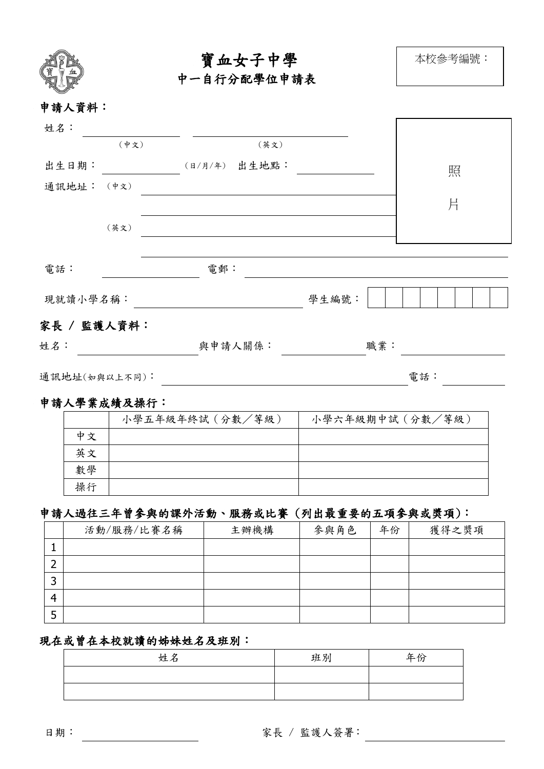|             |      | 寶血女子中學<br>中一自行分配學位申請表 |       | 本校参考編號: |
|-------------|------|-----------------------|-------|---------|
| 申請人資料:      |      |                       |       |         |
| 姓名:         |      |                       |       |         |
|             | (中文) | (英文)                  |       |         |
| 出生日期:       |      | (日/月/年) 出生地點:         |       | 照       |
| 通訊地址:       | (中文) |                       |       |         |
|             |      |                       |       | 片       |
|             | (英文) |                       |       |         |
|             |      |                       |       |         |
| 電話:         |      | 電郵:                   |       |         |
| 現就讀小學名稱:    |      |                       | 學生編號: |         |
| 家長 / 監護人資料: |      |                       |       |         |
| 姓名:         |      | 與申請人關係:               | 職業:   |         |

通訊地址(如與以上不同): 電話:

## 申請人學業成績及操行:

|    | 小學五年級年終試 (分數/等級) | 小學六年級期中試 (分數/等級) |
|----|------------------|------------------|
| 中文 |                  |                  |
| 英文 |                  |                  |
| 數學 |                  |                  |
| 操行 |                  |                  |

# 申請人過往三年曾參與的課外活動、服務或比賽 (列出最重要的五項參與或奬項):

|   | 活動/服務/比賽名稱 | 主辦機構 | 參與角色 | 年份 | 獲得之獎項 |
|---|------------|------|------|----|-------|
|   |            |      |      |    |       |
|   |            |      |      |    |       |
| ר |            |      |      |    |       |
| 4 |            |      |      |    |       |
|   |            |      |      |    |       |

## 現在或曾在本校就讀的姊妹姓名及班別:

| 姓名 | 班別 | 年份 |
|----|----|----|
|    |    |    |
|    |    |    |